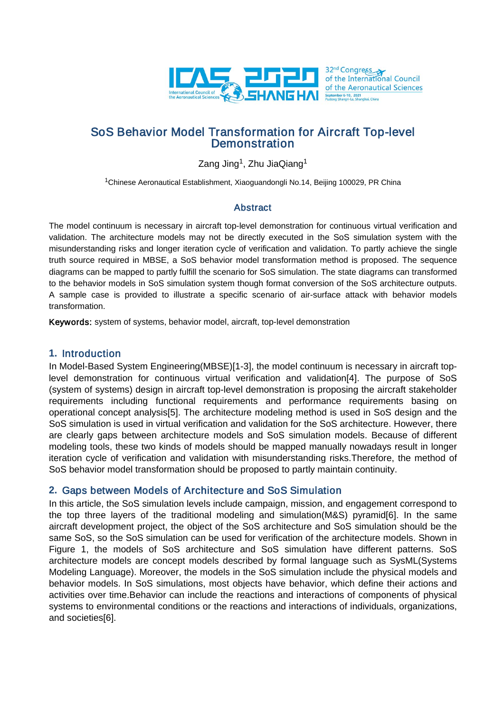

# SoS Behavior Model Transformation for Aircraft Top-level **Demonstration**

Zang Jing<sup>1</sup>, Zhu JiaQiang<sup>1</sup>

1Chinese Aeronautical Establishment, Xiaoguandongli No.14, Beijing 100029, PR China

## Abstract

The model continuum is necessary in aircraft top-level demonstration for continuous virtual verification and validation. The architecture models may not be directly executed in the SoS simulation system with the misunderstanding risks and longer iteration cycle of verification and validation. To partly achieve the single truth source required in MBSE, a SoS behavior model transformation method is proposed. The sequence diagrams can be mapped to partly fulfill the scenario for SoS simulation. The state diagrams can transformed to the behavior models in SoS simulation system though format conversion of the SoS architecture outputs. A sample case is provided to illustrate a specific scenario of air-surface attack with behavior models transformation.

Keywords: system of systems, behavior model, aircraft, top-level demonstration

### **1.** Introduction

In Model-Based System Engineering(MBSE)[1-3], the model continuum is necessary in aircraft toplevel demonstration for continuous virtual verification and validation[4]. The purpose of SoS (system of systems) design in aircraft top-level demonstration is proposing the aircraft stakeholder requirements including functional requirements and performance requirements basing on operational concept analysis[5]. The architecture modeling method is used in SoS design and the SoS simulation is used in virtual verification and validation for the SoS architecture. However, there are clearly gaps between architecture models and SoS simulation models. Because of different modeling tools, these two kinds of models should be mapped manually nowadays result in longer iteration cycle of verification and validation with misunderstanding risks.Therefore, the method of SoS behavior model transformation should be proposed to partly maintain continuity.

# **2.** Gaps between Models of Architecture and SoS Simulation

In this article, the SoS simulation levels include campaign, mission, and engagement correspond to the top three layers of the traditional modeling and simulation(M&S) pyramid[6]. In the same aircraft development project, the object of the SoS architecture and SoS simulation should be the same SoS, so the SoS simulation can be used for verification of the architecture models. Shown in Figure 1, the models of SoS architecture and SoS simulation have different patterns. SoS architecture models are concept models described by formal language such as SysML(Systems Modeling Language). Moreover, the models in the SoS simulation include the physical models and behavior models. In SoS simulations, most objects have behavior, which define their actions and activities over time.Behavior can include the reactions and interactions of components of physical systems to environmental conditions or the reactions and interactions of individuals, organizations, and societies[6].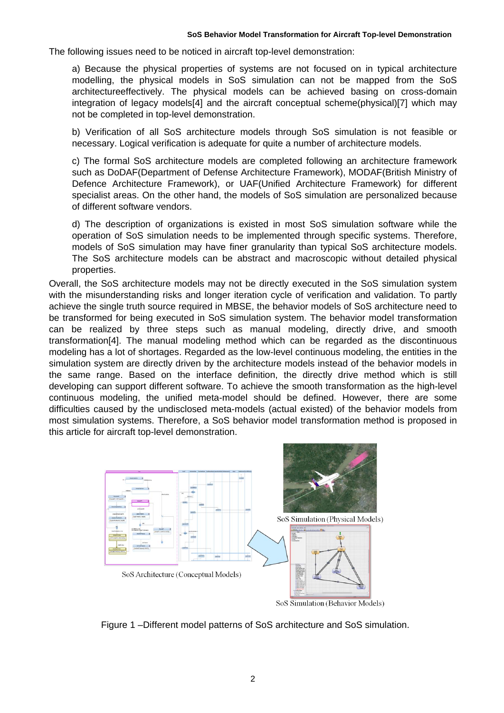The following issues need to be noticed in aircraft top-level demonstration:

a) Because the physical properties of systems are not focused on in typical architecture modelling, the physical models in SoS simulation can not be mapped from the SoS architectureeffectively. The physical models can be achieved basing on cross-domain integration of legacy models[4] and the aircraft conceptual scheme(physical)[7] which may not be completed in top-level demonstration.

b) Verification of all SoS architecture models through SoS simulation is not feasible or necessary. Logical verification is adequate for quite a number of architecture models.

c) The formal SoS architecture models are completed following an architecture framework such as DoDAF(Department of Defense Architecture Framework), MODAF(British Ministry of Defence Architecture Framework), or UAF(Unified Architecture Framework) for different specialist areas. On the other hand, the models of SoS simulation are personalized because of different software vendors.

d) The description of organizations is existed in most SoS simulation software while the operation of SoS simulation needs to be implemented through specific systems. Therefore, models of SoS simulation may have finer granularity than typical SoS architecture models. The SoS architecture models can be abstract and macroscopic without detailed physical properties.

Overall, the SoS architecture models may not be directly executed in the SoS simulation system with the misunderstanding risks and longer iteration cycle of verification and validation. To partly achieve the single truth source required in MBSE, the behavior models of SoS architecture need to be transformed for being executed in SoS simulation system. The behavior model transformation can be realized by three steps such as manual modeling, directly drive, and smooth transformation[4]. The manual modeling method which can be regarded as the discontinuous modeling has a lot of shortages. Regarded as the low-level continuous modeling, the entities in the simulation system are directly driven by the architecture models instead of the behavior models in the same range. Based on the interface definition, the directly drive method which is still developing can support different software. To achieve the smooth transformation as the high-level continuous modeling, the unified meta-model should be defined. However, there are some difficulties caused by the undisclosed meta-models (actual existed) of the behavior models from most simulation systems. Therefore, a SoS behavior model transformation method is proposed in this article for aircraft top-level demonstration.



Figure 1 –Different model patterns of SoS architecture and SoS simulation.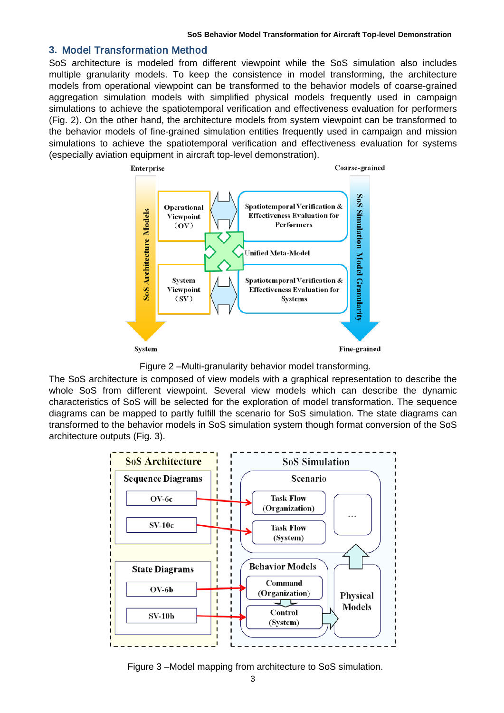### **3.** Model Transformation Method

SoS architecture is modeled from different viewpoint while the SoS simulation also includes multiple granularity models. To keep the consistence in model transforming, the architecture models from operational viewpoint can be transformed to the behavior models of coarse-grained aggregation simulation models with simplified physical models frequently used in campaign simulations to achieve the spatiotemporal verification and effectiveness evaluation for performers (Fig. 2). On the other hand, the architecture models from system viewpoint can be transformed to the behavior models of fine-grained simulation entities frequently used in campaign and mission simulations to achieve the spatiotemporal verification and effectiveness evaluation for systems (especially aviation equipment in aircraft top-level demonstration).



Figure 2 –Multi-granularity behavior model transforming.

The SoS architecture is composed of view models with a graphical representation to describe the whole SoS from different viewpoint. Several view models which can describe the dynamic characteristics of SoS will be selected for the exploration of model transformation. The sequence diagrams can be mapped to partly fulfill the scenario for SoS simulation. The state diagrams can transformed to the behavior models in SoS simulation system though format conversion of the SoS architecture outputs (Fig. 3).



Figure 3 –Model mapping from architecture to SoS simulation.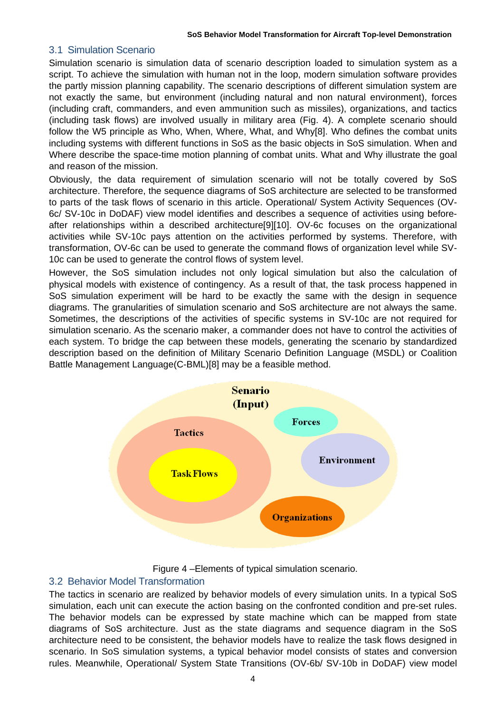### 3.1 Simulation Scenario

Simulation scenario is simulation data of scenario description loaded to simulation system as a script. To achieve the simulation with human not in the loop, modern simulation software provides the partly mission planning capability. The scenario descriptions of different simulation system are not exactly the same, but environment (including natural and non natural environment), forces (including craft, commanders, and even ammunition such as missiles), organizations, and tactics (including task flows) are involved usually in military area (Fig. 4). A complete scenario should follow the W5 principle as Who, When, Where, What, and Why[8]. Who defines the combat units including systems with different functions in SoS as the basic objects in SoS simulation. When and Where describe the space-time motion planning of combat units. What and Why illustrate the goal and reason of the mission.

Obviously, the data requirement of simulation scenario will not be totally covered by SoS architecture. Therefore, the sequence diagrams of SoS architecture are selected to be transformed to parts of the task flows of scenario in this article. Operational/ System Activity Sequences (OV-6c/ SV-10c in DoDAF) view model identifies and describes a sequence of activities using beforeafter relationships within a described architecture[9][10]. OV-6c focuses on the organizational activities while SV-10c pays attention on the activities performed by systems. Therefore, with transformation, OV-6c can be used to generate the command flows of organization level while SV-10c can be used to generate the control flows of system level.

However, the SoS simulation includes not only logical simulation but also the calculation of physical models with existence of contingency. As a result of that, the task process happened in SoS simulation experiment will be hard to be exactly the same with the design in sequence diagrams. The granularities of simulation scenario and SoS architecture are not always the same. Sometimes, the descriptions of the activities of specific systems in SV-10c are not required for simulation scenario. As the scenario maker, a commander does not have to control the activities of each system. To bridge the cap between these models, generating the scenario by standardized description based on the definition of Military Scenario Definition Language (MSDL) or Coalition Battle Management Language(C-BML)[8] may be a feasible method.



Figure 4 –Elements of typical simulation scenario.

### 3.2 Behavior Model Transformation

The tactics in scenario are realized by behavior models of every simulation units. In a typical SoS simulation, each unit can execute the action basing on the confronted condition and pre-set rules. The behavior models can be expressed by state machine which can be mapped from state diagrams of SoS architecture. Just as the state diagrams and sequence diagram in the SoS architecture need to be consistent, the behavior models have to realize the task flows designed in scenario. In SoS simulation systems, a typical behavior model consists of states and conversion rules. Meanwhile, Operational/ System State Transitions (OV-6b/ SV-10b in DoDAF) view model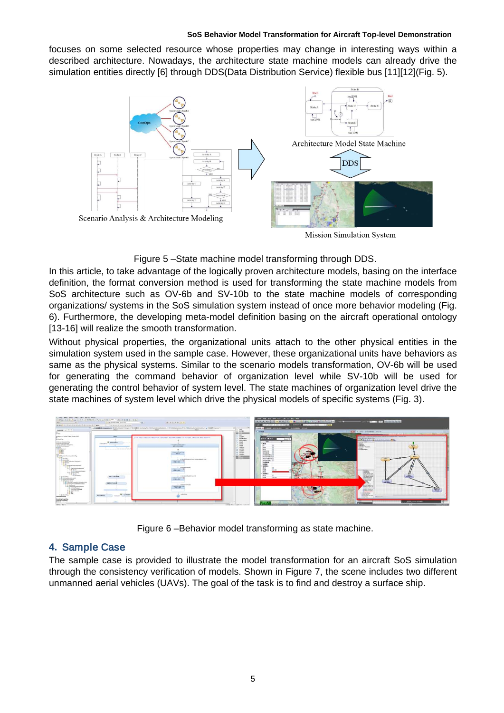#### **SoS Behavior Model Transformation for Aircraft Top-level Demonstration**

focuses on some selected resource whose properties may change in interesting ways within a described architecture. Nowadays, the architecture state machine models can already drive the simulation entities directly [6] through DDS(Data Distribution Service) flexible bus [11][12](Fig. 5).



Figure 5 –State machine model transforming through DDS.

In this article, to take advantage of the logically proven architecture models, basing on the interface definition, the format conversion method is used for transforming the state machine models from SoS architecture such as OV-6b and SV-10b to the state machine models of corresponding organizations/ systems in the SoS simulation system instead of once more behavior modeling (Fig. 6). Furthermore, the developing meta-model definition basing on the aircraft operational ontology [13-16] will realize the smooth transformation.

Without physical properties, the organizational units attach to the other physical entities in the simulation system used in the sample case. However, these organizational units have behaviors as same as the physical systems. Similar to the scenario models transformation, OV-6b will be used for generating the command behavior of organization level while SV-10b will be used for generating the control behavior of system level. The state machines of organization level drive the state machines of system level which drive the physical models of specific systems (Fig. 3).



Figure 6 –Behavior model transforming as state machine.

# **4.** Sample Case

The sample case is provided to illustrate the model transformation for an aircraft SoS simulation through the consistency verification of models. Shown in Figure 7, the scene includes two different unmanned aerial vehicles (UAVs). The goal of the task is to find and destroy a surface ship.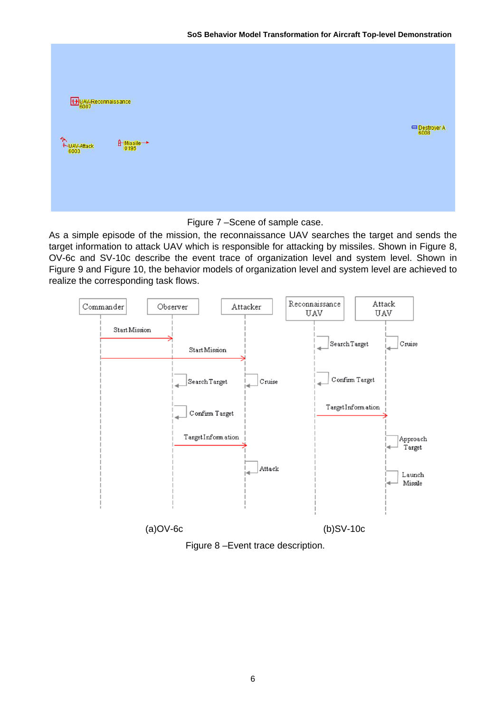| UAV-Reconnaissance            |                                                                                                                                           |  |  |                                         |
|-------------------------------|-------------------------------------------------------------------------------------------------------------------------------------------|--|--|-----------------------------------------|
| $*$<br>$*$ UAV-Attack<br>6003 | $\underbrace{\textcolor{blue}{\textbf{\hat{H}}}\textcolor{blue}{\textbf{-Missile}}\textcolor{blue}{\textbf{N}}\textcolor{blue}{}}_{0195}$ |  |  | Destroyer A<br><b>Contract Contract</b> |
|                               |                                                                                                                                           |  |  |                                         |

Figure 7 –Scene of sample case.

As a simple episode of the mission, the reconnaissance UAV searches the target and sends the target information to attack UAV which is responsible for attacking by missiles. Shown in Figure 8, OV-6c and SV-10c describe the event trace of organization level and system level. Shown in Figure 9 and Figure 10, the behavior models of organization level and system level are achieved to realize the corresponding task flows.



Figure 8 –Event trace description.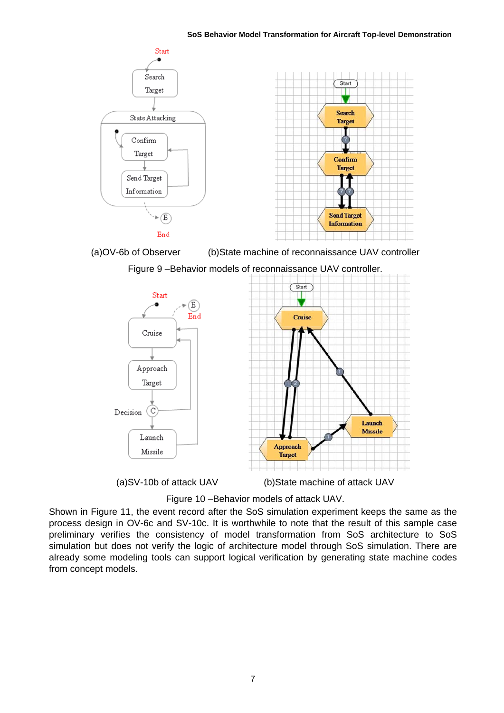

(a)OV-6b of Observer (b)State machine of reconnaissance UAV controller

Figure 9 –Behavior models of reconnaissance UAV controller.



(a)SV-10b of attack UAV (b)State machine of attack UAV

Figure 10 –Behavior models of attack UAV.

Shown in Figure 11, the event record after the SoS simulation experiment keeps the same as the process design in OV-6c and SV-10c. It is worthwhile to note that the result of this sample case preliminary verifies the consistency of model transformation from SoS architecture to SoS simulation but does not verify the logic of architecture model through SoS simulation. There are already some modeling tools can support logical verification by generating state machine codes from concept models.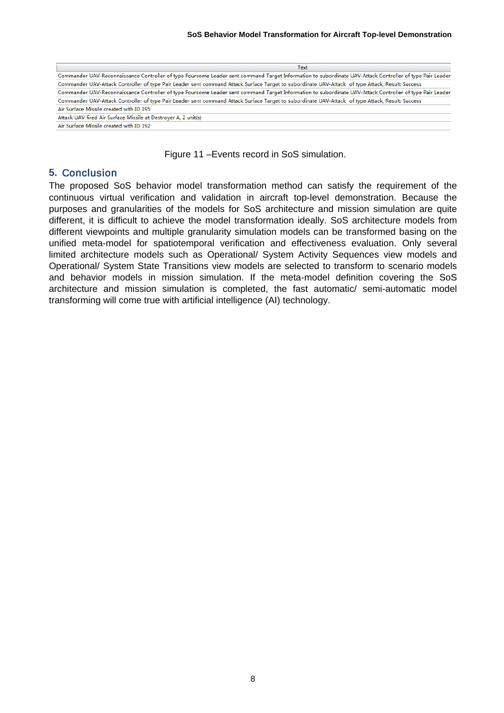| Text                                                                                                                                                      |  |
|-----------------------------------------------------------------------------------------------------------------------------------------------------------|--|
| Commander UAV-Reconnaissance Controller of type Foursome Leader sent command Target Information to subordinate UAV-Attack Controller of type Pair Leader, |  |
| Commander UAV-Attack Controller of type Pair Leader sent command Attack Surface Target to subordinate UAV-Attack of type Attack, Result: Success          |  |
| Commander UAV-Reconnaissance Controller of type Foursome Leader sent command Target Information to subordinate UAV-Attack Controller of type Pair Leader, |  |
| Commander UAV-Attack Controller of type Pair Leader sent command Attack Surface Target to subordinate UAV-Attack of type Attack, Result: Success          |  |
| Air Surface Missile created with ID 195                                                                                                                   |  |
| Attack UAV fired Air Surface Missile at Destrover A, 2 unit(s)                                                                                            |  |
| Air Surface Missile created with ID 192                                                                                                                   |  |

Figure 11 –Events record in SoS simulation.

### **5.** Conclusion

The proposed SoS behavior model transformation method can satisfy the requirement of the continuous virtual verification and validation in aircraft top-level demonstration. Because the purposes and granularities of the models for SoS architecture and mission simulation are quite different, it is difficult to achieve the model transformation ideally. SoS architecture models from different viewpoints and multiple granularity simulation models can be transformed basing on the unified meta-model for spatiotemporal verification and effectiveness evaluation. Only several limited architecture models such as Operational/ System Activity Sequences view models and Operational/ System State Transitions view models are selected to transform to scenario models and behavior models in mission simulation. If the meta-model definition covering the SoS architecture and mission simulation is completed, the fast automatic/ semi-automatic model transforming will come true with artificial intelligence (AI) technology.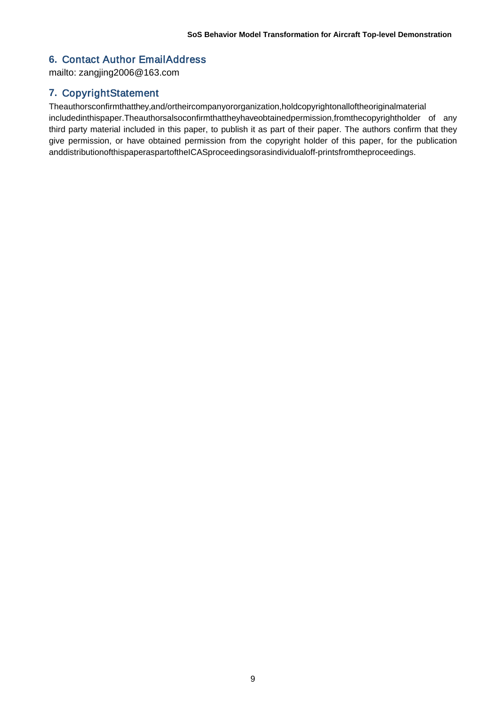## **6.** Contact Author EmailAddress

mailto: zangjing2006@163.com

### **7.** CopyrightStatement

Theauthorsconfirmthatthey,and/ortheircompanyororganization,holdcopyrightonalloftheoriginalmaterial includedinthispaper.Theauthorsalsoconfirmthattheyhaveobtainedpermission,fromthecopyrightholder of any third party material included in this paper, to publish it as part of their paper. The authors confirm that they give permission, or have obtained permission from the copyright holder of this paper, for the publication anddistributionofthispaperaspartoftheICASproceedingsorasindividualoff-printsfromtheproceedings.